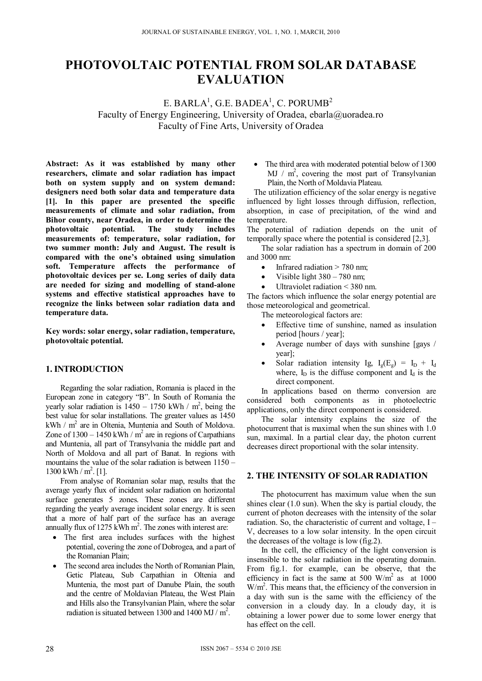# **PHOTOVOLTAIC POTENTIAL FROM SOLAR DATABASE EVALUATION**

E. BARLA $^1$ , G.E. BADEA $^1$ , C. PORUMB $^2$ Faculty of Energy Engineering, University of Oradea, ebarla@uoradea.ro Faculty of Fine Arts, University of Oradea

**Abstract: As it was established by many other researchers, climate and solar radiation has impact both on system supply and on system demand: designers need both solar data and temperature data [1]. In this paper are presented the specific measurements of climate and solar radiation, from Bihor county, near Oradea, in order to determine the photovoltaic potential. The study includes measurements of: temperature, solar radiation, for two summer month: July and August. The result is compared with the one's obtained using simulation soft. Temperature affects the performance of photovoltaic devices per se. Long series of daily data are needed for sizing and modelling of stand-alone systems and effective statistical approaches have to recognize the links between solar radiation data and temperature data.** 

**Key words: solar energy, solar radiation, temperature, photovoltaic potential.** 

### **1. INTRODUCTION**

Regarding the solar radiation, Romania is placed in the European zone in category "B". In South of Romania the yearly solar radiation is  $1450 - 1750$  kWh / m<sup>2</sup>, being the best value for solar installations. The greater values as 1450 kWh /  $m^2$  are in Oltenia, Muntenia and South of Moldova. Zone of  $1300 - 1450$  kWh / m<sup>2</sup> are in regions of Carpathians and Muntenia, all part of Transylvania the middle part and North of Moldova and all part of Banat. In regions with mountains the value of the solar radiation is between 1150 – 1300 kWh /  $m^2$ . [1].

From analyse of Romanian solar map, results that the average yearly flux of incident solar radiation on horizontal surface generates 5 zones. These zones are different regarding the yearly average incident solar energy. It is seen that a more of half part of the surface has an average annually flux of 1275 kWh  $m^2$ . The zones with interest are:

- The first area includes surfaces with the highest potential, covering the zone of Dobrogea, and a part of the Romanian Plain;
- The second area includes the North of Romanian Plain, Getic Plateau, Sub Carpathian in Oltenia and Muntenia, the most part of Danube Plain, the south and the centre of Moldavian Plateau, the West Plain and Hills also the Transylvanian Plain, where the solar radiation is situated between 1300 and 1400 MJ /  $m^2$ .

• The third area with moderated potential below of 1300 MJ /  $m^2$ , covering the most part of Transylvanian Plain, the North of Moldavia Plateau.

The utilization efficiency of the solar energy is negative influenced by light losses through diffusion, reflection, absorption, in case of precipitation, of the wind and temperature.

The potential of radiation depends on the unit of temporally space where the potential is considered [2,3].

 The solar radiation has a spectrum in domain of 200 and 3000 nm:

- $\bullet$  Infrared radiation  $> 780$  nm;
- Visible light 380 780 nm;
- Ultraviolet radiation < 380 nm.

The factors which influence the solar energy potential are those meteorological and geometrical.

The meteorological factors are:

- Effective time of sunshine, named as insulation period [hours / year];
- Average number of days with sunshine [gays / year];
- Solar radiation intensity Ig,  $I_g(E_g) = I_D + I_d$ where,  $I_D$  is the diffuse component and  $I_d$  is the direct component.

In applications based on thermo conversion are considered both components as in photoelectric applications, only the direct component is considered.

 The solar intensity explains the size of the photocurrent that is maximal when the sun shines with 1.0 sun, maximal. In a partial clear day, the photon current decreases direct proportional with the solar intensity.

# **2. THE INTENSITY OF SOLAR RADIATION**

 The photocurrent has maximum value when the sun shines clear (1.0 sun). When the sky is partial cloudy, the current of photon decreases with the intensity of the solar radiation. So, the characteristic of current and voltage, I – V, decreases to a low solar intensity. In the open circuit the decreases of the voltage is low (fig.2).

 In the cell, the efficiency of the light conversion is insensible to the solar radiation in the operating domain. From fig.1. for example, can be observe, that the efficiency in fact is the same at 500  $\text{W/m}^2$  as at 1000 W/m<sup>2</sup>. This means that, the efficiency of the conversion in a day with sun is the same with the efficiency of the conversion in a cloudy day. In a cloudy day, it is obtaining a lower power due to some lower energy that has effect on the cell.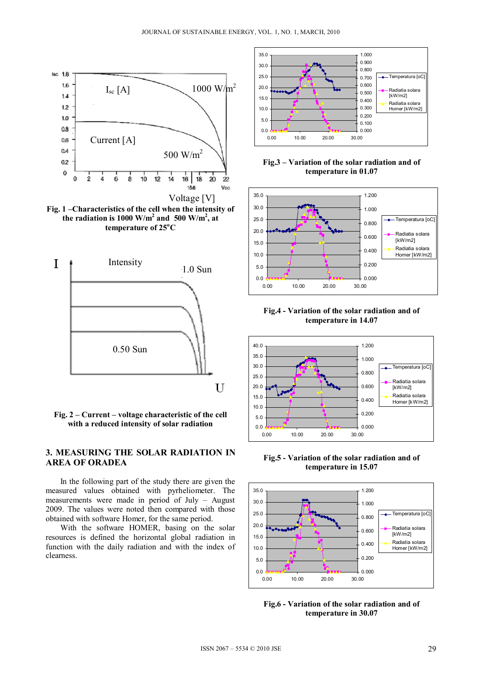







# **3. MEASURING THE SOLAR RADIATION IN AREA OF ORADEA**

 In the following part of the study there are given the measured values obtained with pyrheliometer. The measurements were made in period of July – August 2009. The values were noted then compared with those obtained with software Homer, for the same period.

 With the software HOMER, basing on the solar resources is defined the horizontal global radiation in function with the daily radiation and with the index of clearness.







**Fig.4 - Variation of the solar radiation and of temperature in 14.07**



**Fig.5 - Variation of the solar radiation and of temperature in 15.07**



**Fig.6 - Variation of the solar radiation and of temperature in 30.07**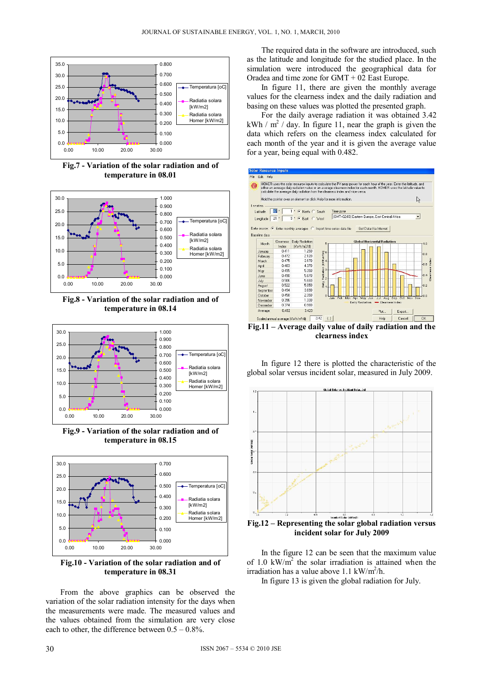

**Fig.7 - Variation of the solar radiation and of temperature in 08.01** 



**Fig.8 - Variation of the solar radiation and of temperature in 08.14** 



**Fig.9 - Variation of the solar radiation and of temperature in 08.15** 



**Fig.10 - Variation of the solar radiation and of temperature in 08.31** 

From the above graphics can be observed the variation of the solar radiation intensity for the days when the measurements were made. The measured values and the values obtained from the simulation are very close each to other, the difference between  $0.5 - 0.8\%$ .

The required data in the software are introduced, such as the latitude and longitude for the studied place. In the simulation were introduced the geographical data for Oradea and time zone for GMT + 02 East Europe.

 In figure 11, there are given the monthly average values for the clearness index and the daily radiation and basing on these values was plotted the presented graph.

 For the daily average radiation it was obtained 3.42 kWh /  $m^2$  / day. In figure 11, near the graph is given the data which refers on the clearness index calculated for each month of the year and it is given the average value for a year, being equal with 0.482.



**Fig.11 – Average daily value of daily radiation and the clearness index** 

 In figure 12 there is plotted the characteristic of the global solar versus incident solar, measured in July 2009.



**Fig.12 – Representing the solar global radiation versus incident solar for July 2009** 

In the figure 12 can be seen that the maximum value of 1.0  $kW/m<sup>2</sup>$  the solar irradiation is attained when the irradiation has a value above  $1.1 \text{ kW/m}^2/h$ .

In figure 13 is given the global radiation for July.